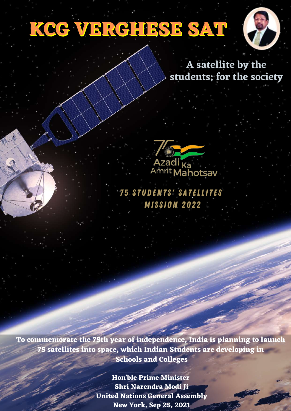# **KCG VERGHESE SAT**



#### **A satellite by the students; for the society**

Azadi <sub>Ka</sub><br>Amrit Mahotsav

**75 STUDENTS' SATELLITES MISSION 2022** 

**To commemorate the 75th year of independence, India is planning to launch 75 satellites into space, which Indian Students are developing in Schools and Colleges**

**\_\_\_\_\_\_\_\_\_\_\_\_\_\_\_\_\_\_\_\_**

**Hon'ble Prime Minister Shri Narendra Modi Ji United Nations General Assembly New York, Sep 25, 2021**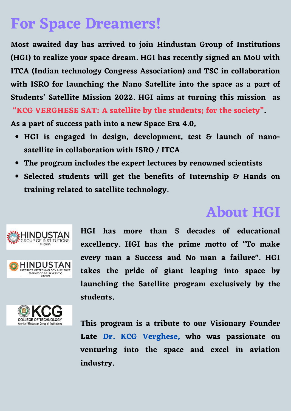### **For Space Dreamers!**

**Most awaited day has arrived to join Hindustan Group of Institutions (HGI) to realize your space dream. HGI has recently signed an MoU with ITCA (Indian technology Congress Association) and TSC in collaboration with ISRO for launching the Nano Satellite into the space as a part of Students' Satellite Mission 2022. HGI aims at turning this mission as "KCG VERGHESE SAT: A satellite by the students; for the society".**

**As a part of success path into a new Space Era 4.0,**

- **HGI is engaged in design, development, test & launch of nanosatellite in collaboration with ISRO / ITCA**
- **The program includes the expert lectures by renowned scientists**
- **Selected students will get the benefits of Internship & Hands on training related to satellite technology.**

### **About HGI**



INSTITUTE OF TECHNOLOGY & SCIENCE





**This program is a tribute to our Visionary Founder Late Dr. KCG Verghese, who was passionate on venturing into the space and excel in aviation industry.**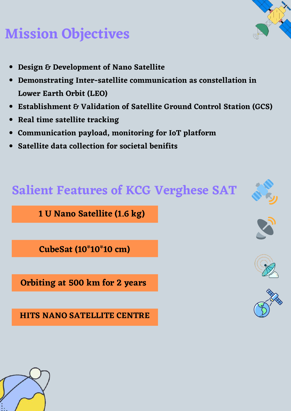## **Mission Objectives**

- **Design & Development of Nano Satellite**
- **Demonstrating Inter-satellite communication as constellation in Lower Earth Orbit (LEO)**
- **Establishment & Validation of Satellite Ground Control Station (GCS)**
- **Real time satellite tracking**
- **Communication payload, monitoring for IoT platform**
- **Satellite data collection for societal benifits**

#### **Salient Features of KCG Verghese SAT**

**1 U Nano Satellite (1.6 kg)**

**CubeSat (10\*10\*10 cm)**

**Orbiting at 500 km for 2 years**

**HITS NANO SATELLITE CENTRE**

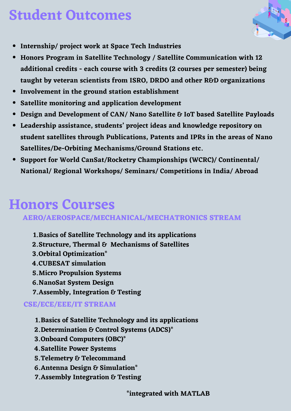### **Student Outcomes**



- **Internship/ project work at Space Tech Industries**
- **Honors Program in Satellite Technology / Satellite Communication with 12 additional credits - each course with 3 credits (2 courses per semester) being taught by veteran scientists from ISRO, DRDO and other R&D organizations**
- **Involvement in the ground station establishment**
- **Satellite monitoring and application development**
- **Design and Development of CAN/ Nano Satellite & IoT based Satellite Payloads**
- **Leadership assistance, students' project ideas and knowledge repository on student satellites through Publications, Patents and IPRs in the areas of Nano Satellites/De-Orbiting Mechanisms/Ground Stations etc.**
- **Support for World CanSat/Rocketry Championships (WCRC)/ Continental/ National/ Regional Workshops/ Seminars/ Competitions in India/ Abroad**

#### **Honors Courses**

#### **AERO/AEROSPACE/MECHANICAL/MECHATRONICS STREAM**

- **Basics of Satellite Technology and its applications 1.**
- **Structure, Thermal & Mechanisms of Satellites 2.**
- **Orbital Optimization\* 3.**
- **CUBESAT simulation 4.**
- **Micro Propulsion Systems 5.**
- **NanoSat System Design 6.**
- **Assembly, Integration & Testing 7.**

#### **CSE/ECE/EEE/IT STREAM**

- **Basics of Satellite Technology and its applications 1.**
- **Determination & Control Systems (ADCS)\* 2.**
- **Onboard Computers (OBC)\* 3.**
- **Satellite Power Systems 4.**
- **Telemetry & Telecommand 5.**
- **Antenna Design & Simulation\* 6.**
- **Assembly Integration & Testing 7.**

**\*integrated with MATLAB**